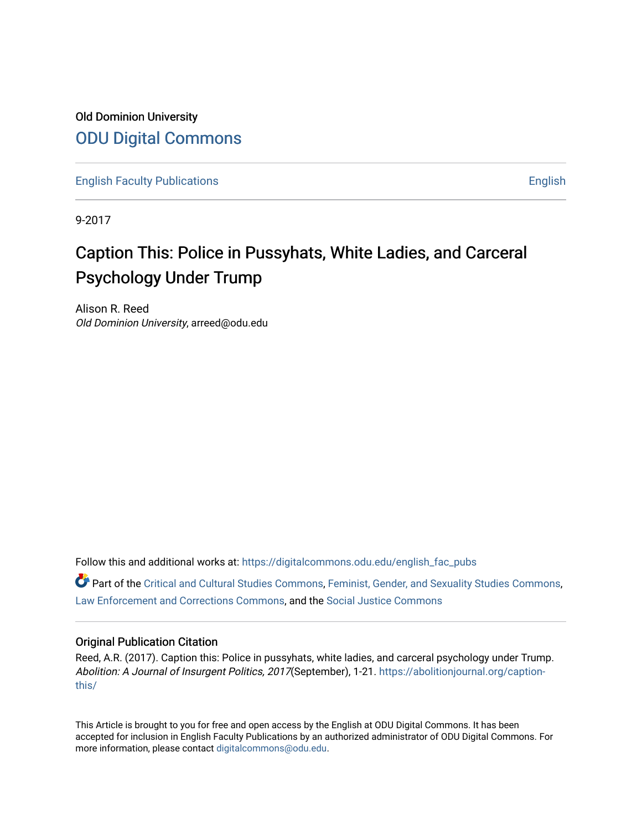Old Dominion University [ODU Digital Commons](https://digitalcommons.odu.edu/) 

[English Faculty Publications](https://digitalcommons.odu.edu/english_fac_pubs) **English** English

9-2017

### Caption This: Police in Pussyhats, White Ladies, and Carceral Psychology Under Trump

Alison R. Reed Old Dominion University, arreed@odu.edu

Follow this and additional works at: [https://digitalcommons.odu.edu/english\\_fac\\_pubs](https://digitalcommons.odu.edu/english_fac_pubs?utm_source=digitalcommons.odu.edu%2Fenglish_fac_pubs%2F197&utm_medium=PDF&utm_campaign=PDFCoverPages) 

C Part of the [Critical and Cultural Studies Commons](http://network.bepress.com/hgg/discipline/328?utm_source=digitalcommons.odu.edu%2Fenglish_fac_pubs%2F197&utm_medium=PDF&utm_campaign=PDFCoverPages), [Feminist, Gender, and Sexuality Studies Commons,](http://network.bepress.com/hgg/discipline/559?utm_source=digitalcommons.odu.edu%2Fenglish_fac_pubs%2F197&utm_medium=PDF&utm_campaign=PDFCoverPages) [Law Enforcement and Corrections Commons](http://network.bepress.com/hgg/discipline/854?utm_source=digitalcommons.odu.edu%2Fenglish_fac_pubs%2F197&utm_medium=PDF&utm_campaign=PDFCoverPages), and the [Social Justice Commons](http://network.bepress.com/hgg/discipline/1432?utm_source=digitalcommons.odu.edu%2Fenglish_fac_pubs%2F197&utm_medium=PDF&utm_campaign=PDFCoverPages)

#### Original Publication Citation

Reed, A.R. (2017). Caption this: Police in pussyhats, white ladies, and carceral psychology under Trump. Abolition: A Journal of Insurgent Politics, 2017(September), 1-21. [https://abolitionjournal.org/caption](https://abolitionjournal.org/caption-this/)[this/](https://abolitionjournal.org/caption-this/)

This Article is brought to you for free and open access by the English at ODU Digital Commons. It has been accepted for inclusion in English Faculty Publications by an authorized administrator of ODU Digital Commons. For more information, please contact [digitalcommons@odu.edu.](mailto:digitalcommons@odu.edu)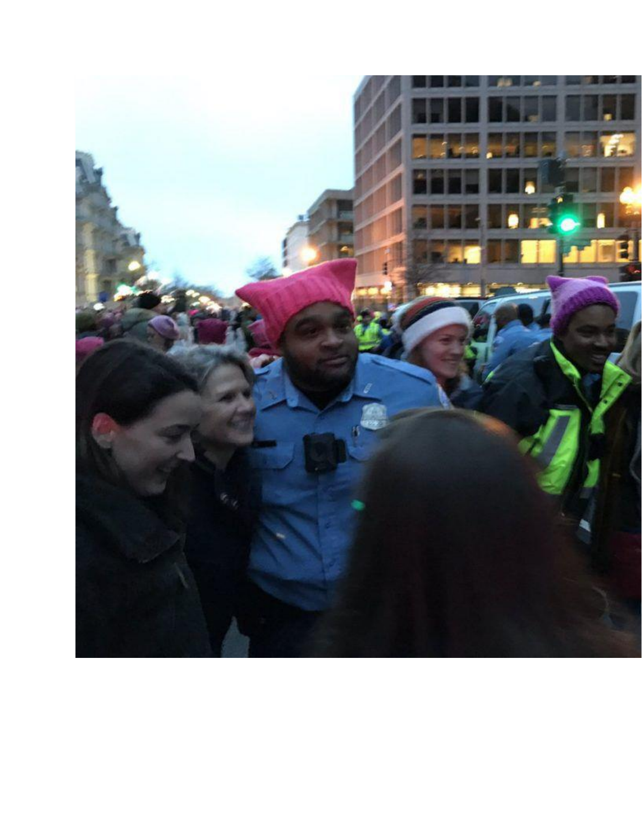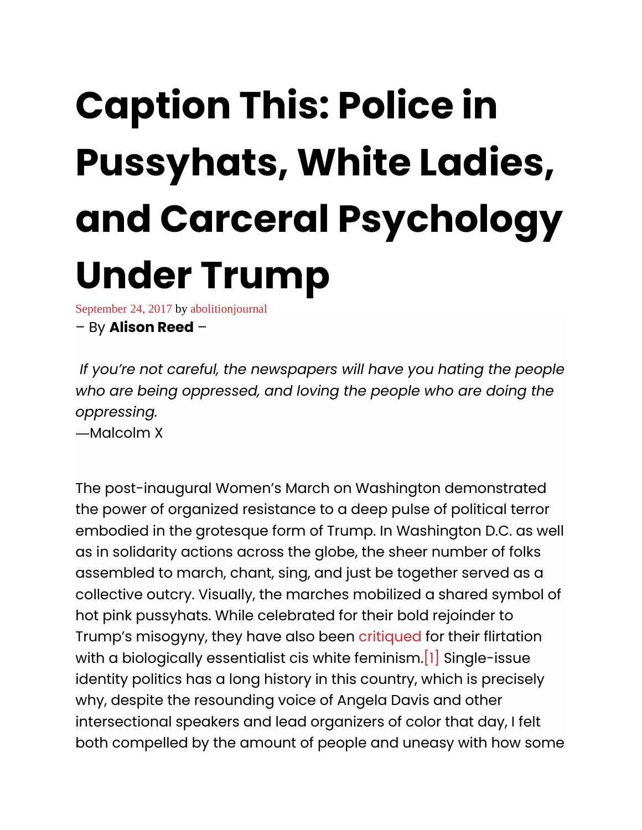# **Caption This: Police in Pussyhats, White Ladies, and Carceral Psychology Under Trump**

[September](https://abolitionjournal.org/caption-this/) 24, 2017 by [abolitionjournal](https://abolitionjournal.org/author/eli/) – By **Alison Reed** –

*If you're not careful, the newspapers will have you hating the people who are being oppressed, and loving the people who are doing the oppressing.* ―Malcolm X

The post-inaugural Women's March on Washington demonstrated the power of organized resistance to a deep pulse of political terror embodied in the grotesque form of Trump. In Washington D.C. as well as in solidarity actions across the globe, the sheer number of folks assembled to march, chant, sing, and just be together served as a collective outcry. Visually, the marches mobilized a shared symbol of hot pink pussyhats. While celebrated for their bold rejoinder to Trump's misogyny, they have also been [critiqued](http://www.crunkfeministcollective.com/2017/01/23/pussy-dont-fail-me-now-the-place-of-vaginas-in-black-feminist-theory-organizing/) for their flirtation with a biologically essentialist cis white feminism. [1] Single-issue identity politics has a long history in this country, which is precisely why, despite the resounding voice of Angela Davis and other intersectional speakers and lead organizers of color that day, I felt both compelled by the amount of people and uneasy with how some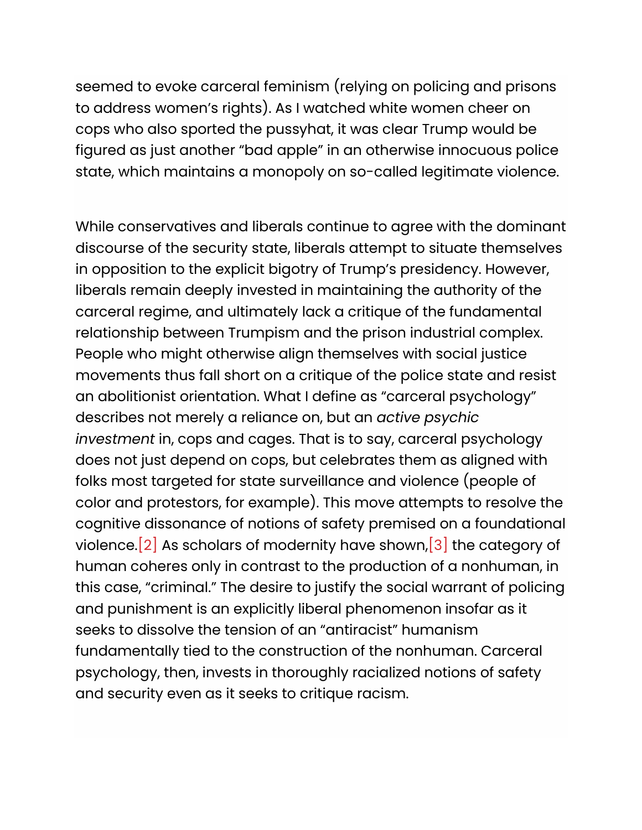seemed to evoke carceral feminism (relying on policing and prisons to address women's rights). As I watched white women cheer on cops who also sported the pussyhat, it was clear Trump would be figured as just another "bad apple" in an otherwise innocuous police state, which maintains a monopoly on so-called legitimate violence.

While conservatives and liberals continue to agree with the dominant discourse of the security state, liberals attempt to situate themselves in opposition to the explicit bigotry of Trump's presidency. However, liberals remain deeply invested in maintaining the authority of the carceral regime, and ultimately lack a critique of the fundamental relationship between Trumpism and the prison industrial complex. People who might otherwise align themselves with social justice movements thus fall short on a critique of the police state and resist an abolitionist orientation. What I define as "carceral psychology" describes not merely a reliance on, but an *active psychic investment* in, cops and cages. That is to say, carceral psychology does not just depend on cops, but celebrates them as aligned with folks most targeted for state surveillance and violence (people of color and protestors, for example). This move attempts to resolve the cognitive dissonance of notions of safety premised on a foundational violence.<sup>[2]</sup> As scholars of modernity have shown,<sup>[3]</sup> the category of human coheres only in contrast to the production of a nonhuman, in this case, "criminal." The desire to justify the social warrant of policing and punishment is an explicitly liberal phenomenon insofar as it seeks to dissolve the tension of an "antiracist" humanism fundamentally tied to the construction of the nonhuman. Carceral psychology, then, invests in thoroughly racialized notions of safety and security even as it seeks to critique racism.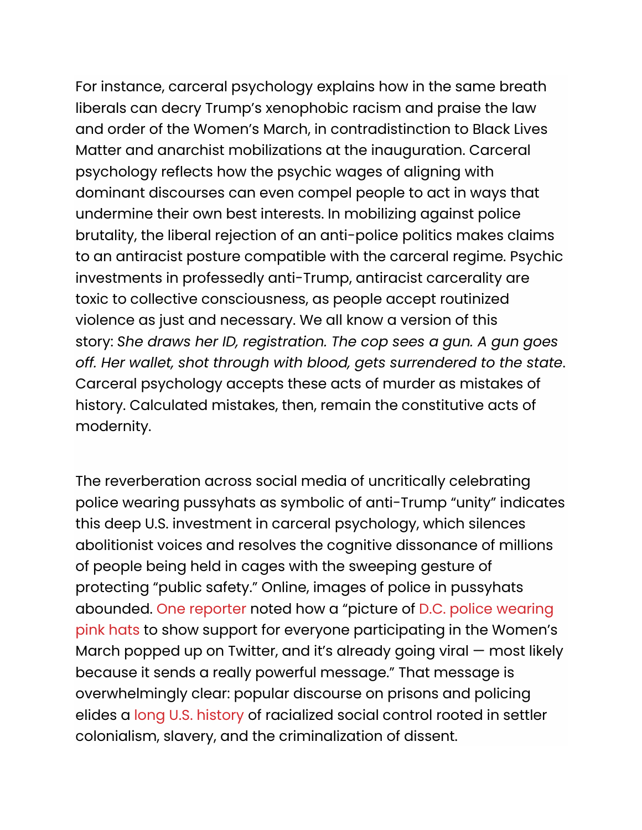For instance, carceral psychology explains how in the same breath liberals can decry Trump's xenophobic racism and praise the law and order of the Women's March, in contradistinction to Black Lives Matter and anarchist mobilizations at the inauguration. Carceral psychology reflects how the psychic wages of aligning with dominant discourses can even compel people to act in ways that undermine their own best interests. In mobilizing against police brutality, the liberal rejection of an anti-police politics makes claims to an antiracist posture compatible with the carceral regime. Psychic investments in professedly anti-Trump, antiracist carcerality are toxic to collective consciousness, as people accept routinized violence as just and necessary. We all know a version of this story: *She draws her ID, registration. The cop sees a gun. A gun goes off. Her wallet, shot through with blood, gets surrendered to the state*. Carceral psychology accepts these acts of murder as mistakes of history. Calculated mistakes, then, remain the constitutive acts of modernity.

The reverberation across social media of uncritically celebrating police wearing pussyhats as symbolic of anti-Trump "unity" indicates this deep U.S. investment in carceral psychology, which silences abolitionist voices and resolves the cognitive dissonance of millions of people being held in cages with the sweeping gesture of protecting "public safety." Online, images of police in pussyhats abounded. One [reporter](https://www.bustle.com/p/dc-police-are-wearing-pink-hats-at-the-womens-march-it-sends-a%20powerful-message-photo-32084) noted how a "picture of D.C. police [wearing](https://twitter.com/DaveStroup/status/822840722156060677) pink [hats](https://twitter.com/DaveStroup/status/822840722156060677) to show support for everyone participating in the Women's March popped up on Twitter, and it's already going viral  $-$  most likely because it sends a really powerful message." That message is overwhelmingly clear: popular discourse on prisons and policing elides a long U.S. [history](http://criticalresistance.org/abolish-policing/) of racialized social control rooted in settler colonialism, slavery, and the criminalization of dissent.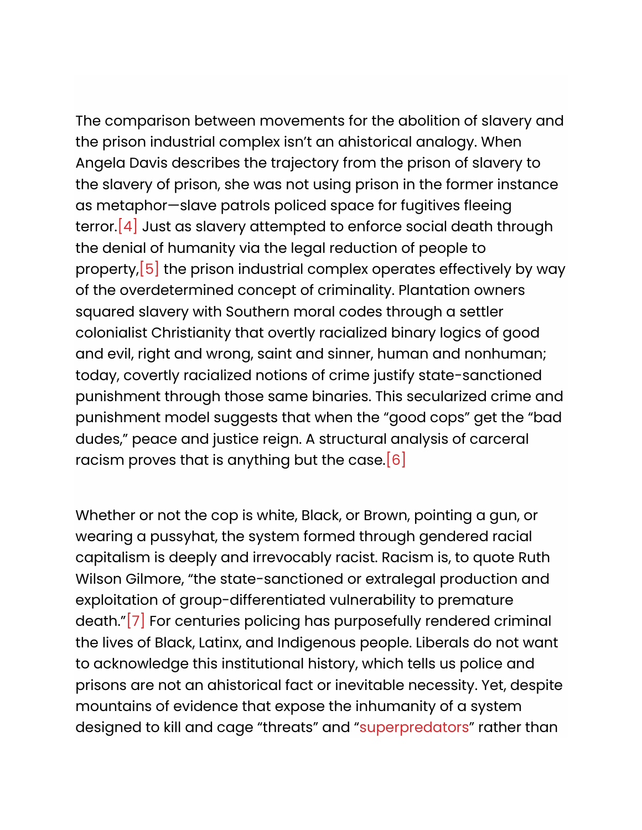The comparison between movements for the abolition of slavery and the prison industrial complex isn't an ahistorical analogy. When Angela Davis describes the trajectory from the prison of slavery to the slavery of prison, she was not using prison in the former instance as metaphor—slave patrols policed space for fugitives fleeing terror[.\[4\]](https://abolitionjournal.org/caption-this/#_edn4) Just as slavery attempted to enforce social death through the denial of humanity via the legal reduction of people to property[,\[5\]](https://abolitionjournal.org/caption-this/#_edn5) the prison industrial complex operates effectively by way of the overdetermined concept of criminality. Plantation owners squared slavery with Southern moral codes through a settler colonialist Christianity that overtly racialized binary logics of good and evil, right and wrong, saint and sinner, human and nonhuman; today, covertly racialized notions of crime justify state-sanctioned punishment through those same binaries. This secularized crime and punishment model suggests that when the "good cops" get the "bad dudes," peace and justice reign. A structural analysis of carceral racism proves that is anything but the case.  $[6]$ 

Whether or not the cop is white, Black, or Brown, pointing a gun, or wearing a pussyhat, the system formed through gendered racial capitalism is deeply and irrevocably racist. Racism is, to quote Ruth Wilson Gilmore, "the state-sanctioned or extralegal production and exploitation of group-differentiated vulnerability to premature death."[\[7\]](https://abolitionjournal.org/caption-this/#_edn7) For centuries policing has purposefully rendered criminal the lives of Black, Latinx, and Indigenous people. Liberals do not want to acknowledge this institutional history, which tells us police and prisons are not an ahistorical fact or inevitable necessity. Yet, despite mountains of evidence that expose the inhumanity of a system designed to kill and cage "threats" and "[superpredators](https://www.theroot.com/for-the-record-superpredators-is-absolutely-a-racist-t-1790857020)" rather than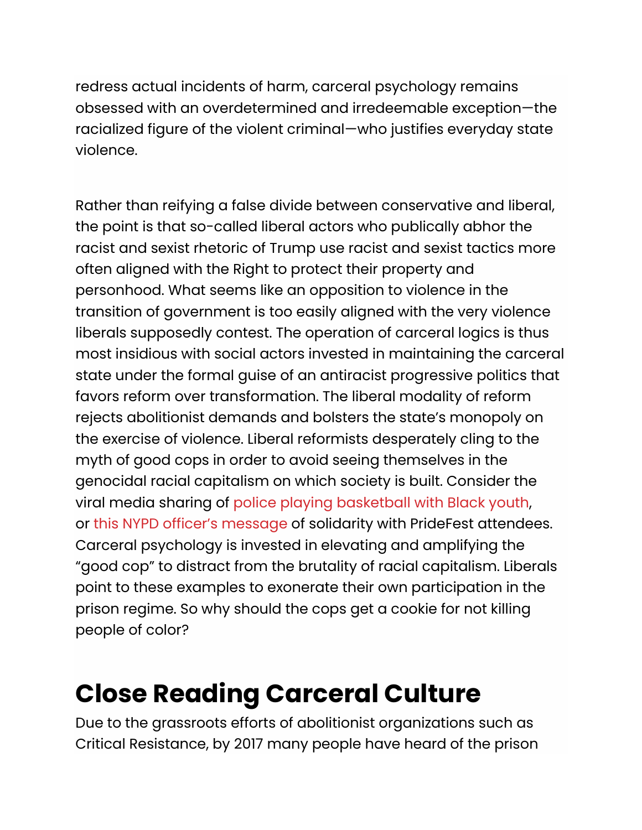redress actual incidents of harm, carceral psychology remains obsessed with an overdetermined and irredeemable exception—the racialized figure of the violent criminal—who justifies everyday state violence.

Rather than reifying a false divide between conservative and liberal, the point is that so-called liberal actors who publically abhor the racist and sexist rhetoric of Trump use racist and sexist tactics more often aligned with the Right to protect their property and personhood. What seems like an opposition to violence in the transition of government is too easily aligned with the very violence liberals supposedly contest. The operation of carceral logics is thus most insidious with social actors invested in maintaining the carceral state under the formal guise of an antiracist progressive politics that favors reform over transformation. The liberal modality of reform rejects abolitionist demands and bolsters the state's monopoly on the exercise of violence. Liberal reformists desperately cling to the myth of good cops in order to avoid seeing themselves in the genocidal racial capitalism on which society is built. Consider the viral media sharing of police playing [basketball](https://www.youtube.com/watch?v=DUJY82svsog) with Black youth, or this NYPD officer's [message](https://www.gaystarnews.com/article/straight-new-york-city-cop-shares-pride-message-wont-soon-forget/) of solidarity with PrideFest attendees. Carceral psychology is invested in elevating and amplifying the "good cop" to distract from the brutality of racial capitalism. Liberals point to these examples to exonerate their own participation in the prison regime. So why should the cops get a cookie for not killing people of color?

## **Close Reading Carceral Culture**

Due to the grassroots efforts of abolitionist organizations such as Critical Resistance, by 2017 many people have heard of the prison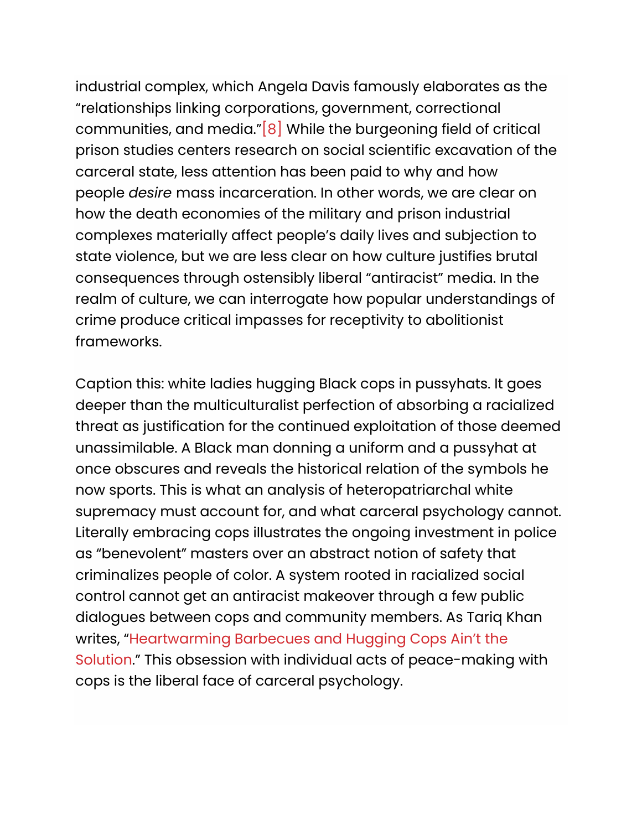industrial complex, which Angela Davis famously elaborates as the "relationships linking corporations, government, correctional communities, and media." $[8]$  While the burgeoning field of critical prison studies centers research on social scientific excavation of the carceral state, less attention has been paid to why and how people *desire* mass incarceration. In other words, we are clear on how the death economies of the military and prison industrial complexes materially affect people's daily lives and subjection to state violence, but we are less clear on how culture justifies brutal consequences through ostensibly liberal "antiracist" media. In the realm of culture, we can interrogate how popular understandings of crime produce critical impasses for receptivity to abolitionist frameworks.

Caption this: white ladies hugging Black cops in pussyhats. It goes deeper than the multiculturalist perfection of absorbing a racialized threat as justification for the continued exploitation of those deemed unassimilable. A Black man donning a uniform and a pussyhat at once obscures and reveals the historical relation of the symbols he now sports. This is what an analysis of heteropatriarchal white supremacy must account for, and what carceral psychology cannot. Literally embracing cops illustrates the ongoing investment in police as "benevolent" masters over an abstract notion of safety that criminalizes people of color. A system rooted in racialized social control cannot get an antiracist makeover through a few public dialogues between cops and community members. As Tariq Khan writes, "[Heartwarming](http://www.anarchistagency.com/commentary/heartwarming-barbecues-and-hugging-cops-aint-the-solution/) Barbecues and Hugging Cops Ain't the [Solution](http://www.anarchistagency.com/commentary/heartwarming-barbecues-and-hugging-cops-aint-the-solution/)." This obsession with individual acts of peace-making with cops is the liberal face of carceral psychology.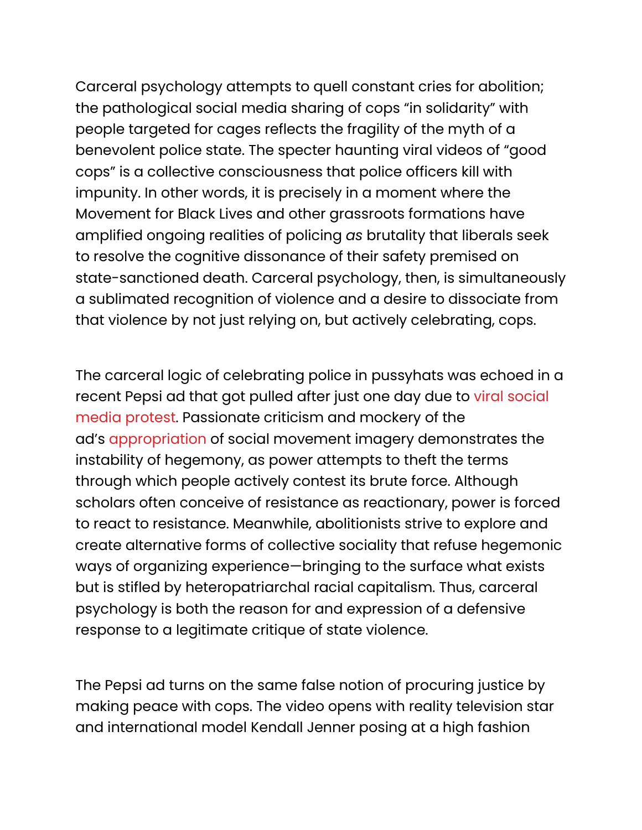Carceral psychology attempts to quell constant cries for abolition; the pathological social media sharing of cops "in solidarity" with people targeted for cages reflects the fragility of the myth of a benevolent police state. The specter haunting viral videos of "good cops" is a collective consciousness that police officers kill with impunity. In other words, it is precisely in a moment where the Movement for Black Lives and other grassroots formations have amplified ongoing realities of policing *as* brutality that liberals seek to resolve the cognitive dissonance of their safety premised on state-sanctioned death. Carceral psychology, then, is simultaneously a sublimated recognition of violence and a desire to dissociate from that violence by not just relying on, but actively celebrating, cops.

The carceral logic of celebrating police in pussyhats was echoed in a recent Pepsi ad that got pulled after just one day due to viral [social](http://variety.com/2017/biz/news/pepsi-ad-pulled-kendall-jenner-protest-1202023459/) media [protest.](http://variety.com/2017/biz/news/pepsi-ad-pulled-kendall-jenner-protest-1202023459/) Passionate criticism and mockery of the ad's [appropriation](https://www.nytimes.com/2017/04/05/business/kendall-jenner-pepsi-ad.html) of social movement imagery demonstrates the instability of hegemony, as power attempts to theft the terms through which people actively contest its brute force. Although scholars often conceive of resistance as reactionary, power is forced to react to resistance. Meanwhile, abolitionists strive to explore and create alternative forms of collective sociality that refuse hegemonic ways of organizing experience—bringing to the surface what exists but is stifled by heteropatriarchal racial capitalism. Thus, carceral psychology is both the reason for and expression of a defensive response to a legitimate critique of state violence.

The Pepsi ad turns on the same false notion of procuring justice by making peace with cops. The video opens with reality television star and international model Kendall Jenner posing at a high fashion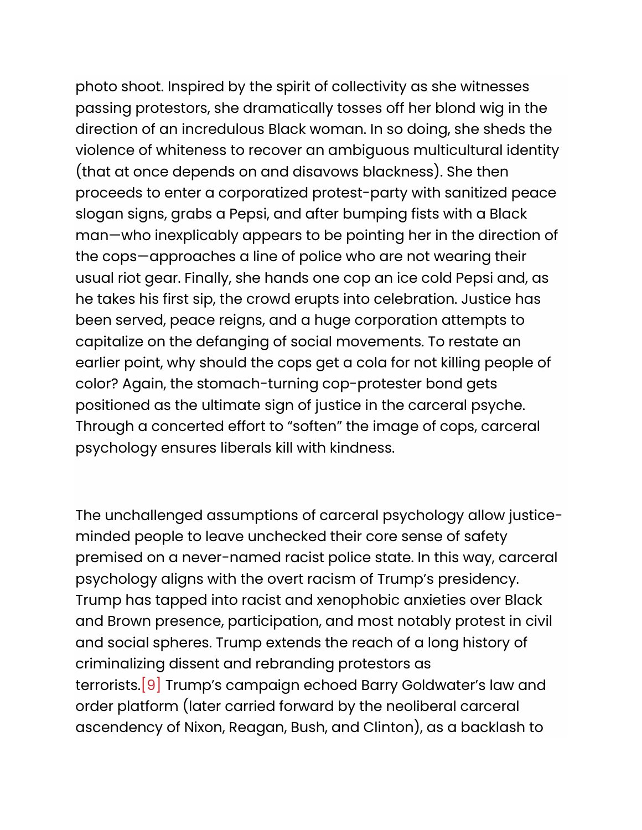photo shoot. Inspired by the spirit of collectivity as she witnesses passing protestors, she dramatically tosses off her blond wig in the direction of an incredulous Black woman. In so doing, she sheds the violence of whiteness to recover an ambiguous multicultural identity (that at once depends on and disavows blackness). She then proceeds to enter a corporatized protest-party with sanitized peace slogan signs, grabs a Pepsi, and after bumping fists with a Black man—who inexplicably appears to be pointing her in the direction of the cops—approaches a line of police who are not wearing their usual riot gear. Finally, she hands one cop an ice cold Pepsi and, as he takes his first sip, the crowd erupts into celebration. Justice has been served, peace reigns, and a huge corporation attempts to capitalize on the defanging of social movements. To restate an earlier point, why should the cops get a cola for not killing people of color? Again, the stomach-turning cop-protester bond gets positioned as the ultimate sign of justice in the carceral psyche. Through a concerted effort to "soften" the image of cops, carceral psychology ensures liberals kill with kindness.

The unchallenged assumptions of carceral psychology allow justiceminded people to leave unchecked their core sense of safety premised on a never-named racist police state. In this way, carceral psychology aligns with the overt racism of Trump's presidency. Trump has tapped into racist and xenophobic anxieties over Black and Brown presence, participation, and most notably protest in civil and social spheres. Trump extends the reach of a long history of criminalizing dissent and rebranding protestors as terrorists[.\[9\]](https://abolitionjournal.org/caption-this/#_edn9) Trump's campaign echoed Barry Goldwater's law and order platform (later carried forward by the neoliberal carceral ascendency of Nixon, Reagan, Bush, and Clinton), as a backlash to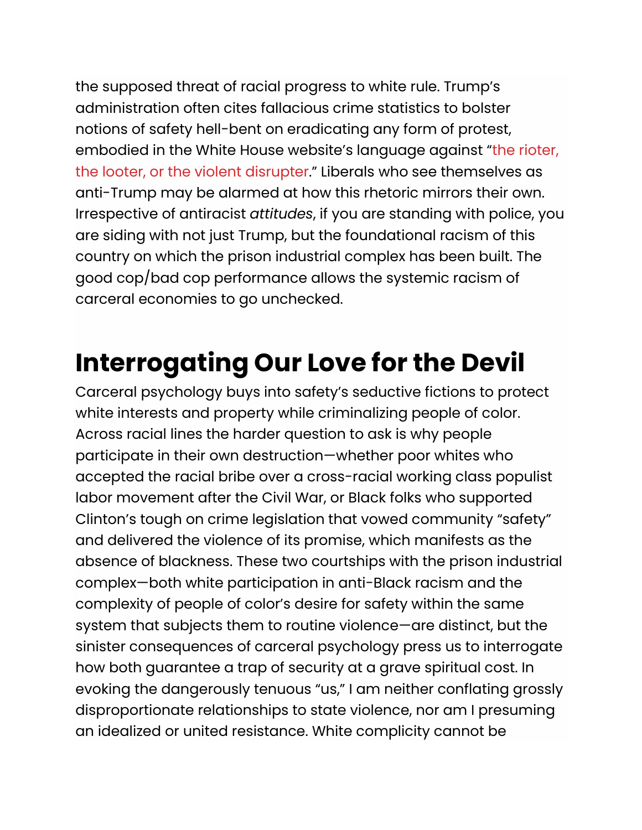the supposed threat of racial progress to white rule. Trump's administration often cites fallacious crime statistics to bolster notions of safety hell-bent on eradicating any form of protest, embodied in the White House website's language against "the [rioter,](https://www.whitehouse.gov/law-enforcement-community) the looter, or the violent [disrupter](https://www.whitehouse.gov/law-enforcement-community)." Liberals who see themselves as anti-Trump may be alarmed at how this rhetoric mirrors their own. Irrespective of antiracist *attitudes*, if you are standing with police, you are siding with not just Trump, but the foundational racism of this country on which the prison industrial complex has been built. The good cop/bad cop performance allows the systemic racism of carceral economies to go unchecked.

## **Interrogating Our Love for the Devil**

Carceral psychology buys into safety's seductive fictions to protect white interests and property while criminalizing people of color. Across racial lines the harder question to ask is why people participate in their own destruction—whether poor whites who accepted the racial bribe over a cross-racial working class populist labor movement after the Civil War, or Black folks who supported Clinton's tough on crime legislation that vowed community "safety" and delivered the violence of its promise, which manifests as the absence of blackness. These two courtships with the prison industrial complex—both white participation in anti-Black racism and the complexity of people of color's desire for safety within the same system that subjects them to routine violence—are distinct, but the sinister consequences of carceral psychology press us to interrogate how both guarantee a trap of security at a grave spiritual cost. In evoking the dangerously tenuous "us," I am neither conflating grossly disproportionate relationships to state violence, nor am I presuming an idealized or united resistance. White complicity cannot be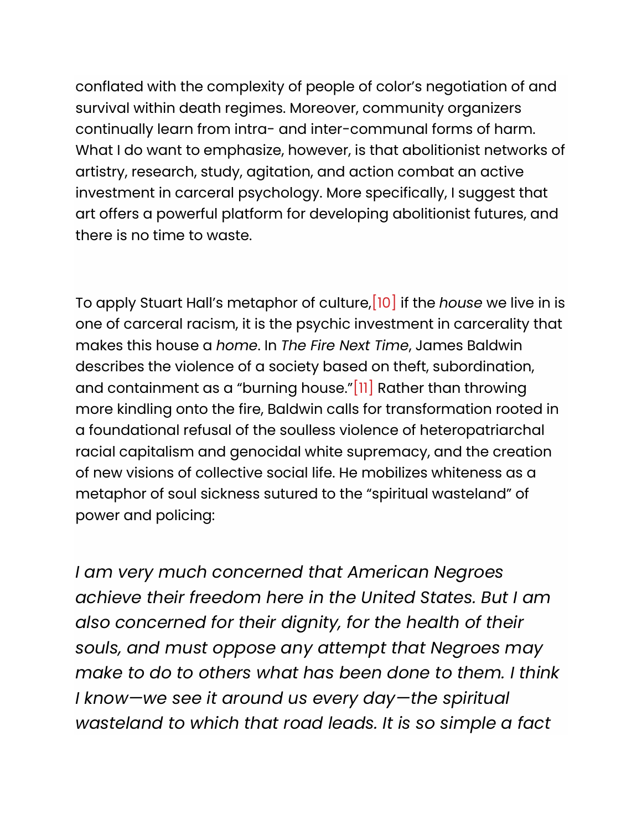conflated with the complexity of people of color's negotiation of and survival within death regimes. Moreover, community organizers continually learn from intra- and inter-communal forms of harm. What I do want to emphasize, however, is that abolitionist networks of artistry, research, study, agitation, and action combat an active investment in carceral psychology. More specifically, I suggest that art offers a powerful platform for developing abolitionist futures, and there is no time to waste.

To apply Stuart Hall's metaphor of culture,[\[10\]](https://abolitionjournal.org/caption-this/#_edn10) if the *house* we live in is one of carceral racism, it is the psychic investment in carcerality that makes this house a *home*. In *The Fire Next Time*, James Baldwin describes the violence of a society based on theft, subordination, and containment as a "burning house." [\[11\]](https://abolitionjournal.org/caption-this/#_edn11) Rather than throwing more kindling onto the fire, Baldwin calls for transformation rooted in a foundational refusal of the soulless violence of heteropatriarchal racial capitalism and genocidal white supremacy, and the creation of new visions of collective social life. He mobilizes whiteness as a metaphor of soul sickness sutured to the "spiritual wasteland" of power and policing:

*I am very much concerned that American Negroes achieve their freedom here in the United States. But I am also concerned for their dignity, for the health of their souls, and must oppose any attempt that Negroes may make to do to others what has been done to them. I think I know—we see it around us every day—the spiritual wasteland to which that road leads. It is so simple a fact*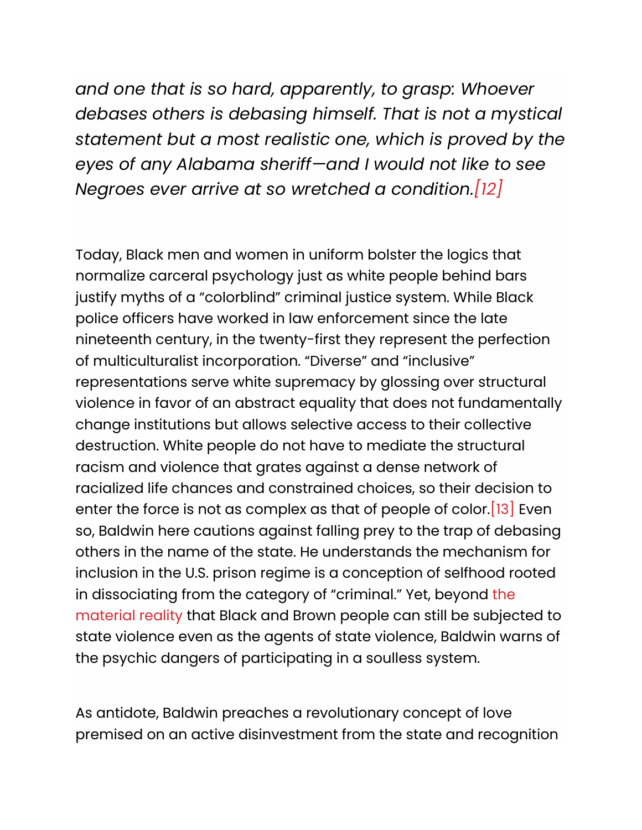*and one that is so hard, apparently, to grasp: Whoever debases others is debasing himself. That is not a mystical statement but a most realistic one, which is proved by the eyes of any Alabama sheriff—and I would not like to see Negroes ever arrive at so wretched a condition[.\[12\]](https://abolitionjournal.org/caption-this/#_edn12)*

Today, Black men and women in uniform bolster the logics that normalize carceral psychology just as white people behind bars justify myths of a "colorblind" criminal justice system. While Black police officers have worked in law enforcement since the late nineteenth century, in the twenty-first they represent the perfection of multiculturalist incorporation. "Diverse" and "inclusive" representations serve white supremacy by glossing over structural violence in favor of an abstract equality that does not fundamentally change institutions but allows selective access to their collective destruction. White people do not have to mediate the structural racism and violence that grates against a dense network of racialized life chances and constrained choices, so their decision to enter the force is not as complex as that of people of color.  $\boxed{13}$  Even so, Baldwin here cautions against falling prey to the trap of debasing others in the name of the state. He understands the mechanism for inclusion in the U.S. prison regime is a conception of selfhood rooted in dissociating from the category of "criminal." Yet, beyond [the](https://www.nytimes.com/2017/06/26/us/saint-louis-black-officer.html) [material](https://www.nytimes.com/2017/06/26/us/saint-louis-black-officer.html) reality that Black and Brown people can still be subjected to state violence even as the agents of state violence, Baldwin warns of the psychic dangers of participating in a soulless system.

As antidote, Baldwin preaches a revolutionary concept of love premised on an active disinvestment from the state and recognition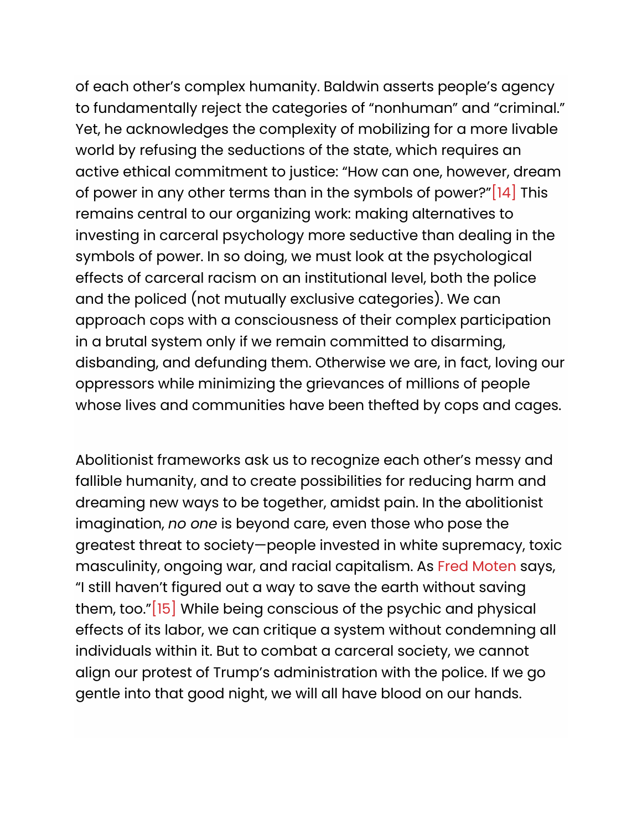of each other's complex humanity. Baldwin asserts people's agency to fundamentally reject the categories of "nonhuman" and "criminal." Yet, he acknowledges the complexity of mobilizing for a more livable world by refusing the seductions of the state, which requires an active ethical commitment to justice: "How can one, however, dream of power in any other terms than in the symbols of power?" [\[14\]](https://abolitionjournal.org/caption-this/#_edn14) This remains central to our organizing work: making alternatives to investing in carceral psychology more seductive than dealing in the symbols of power. In so doing, we must look at the psychological effects of carceral racism on an institutional level, both the police and the policed (not mutually exclusive categories). We can approach cops with a consciousness of their complex participation in a brutal system only if we remain committed to disarming, disbanding, and defunding them. Otherwise we are, in fact, loving our oppressors while minimizing the grievances of millions of people whose lives and communities have been thefted by cops and cages.

Abolitionist frameworks ask us to recognize each other's messy and fallible humanity, and to create possibilities for reducing harm and dreaming new ways to be together, amidst pain. In the abolitionist imagination, *no one* is beyond care, even those who pose the greatest threat to society—people invested in white supremacy, toxic masculinity, ongoing war, and racial capitalism. As Fred [Moten](https://www.youtube.com/watch?v=Ueb2qWFNVnM) says, "I still haven't figured out a way to save the earth without saving them, too."[\[15\]](https://abolitionjournal.org/caption-this/#_edn15) While being conscious of the psychic and physical effects of its labor, we can critique a system without condemning all individuals within it. But to combat a carceral society, we cannot align our protest of Trump's administration with the police. If we go gentle into that good night, we will all have blood on our hands.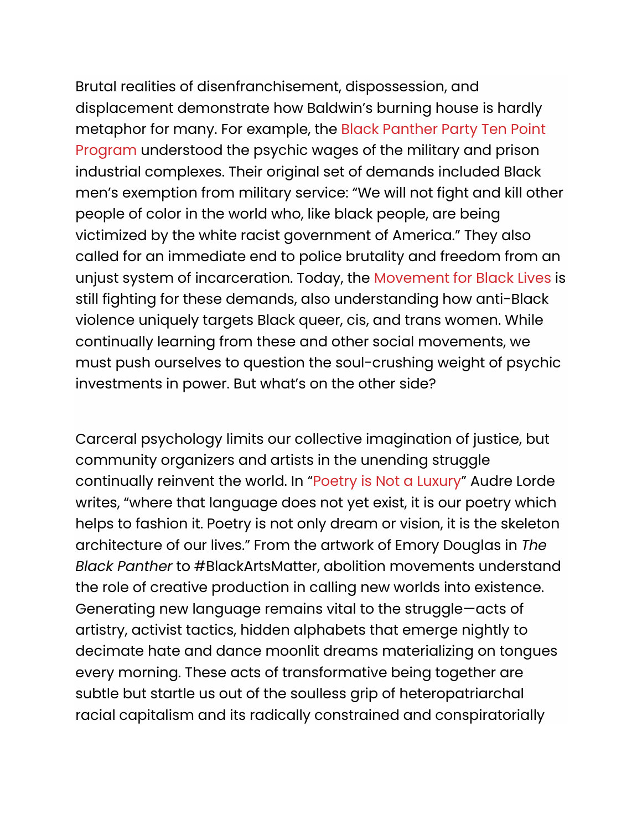Brutal realities of disenfranchisement, dispossession, and displacement demonstrate how Baldwin's burning house is hardly metaphor for many. For example, the Black [Panther](http://www2.iath.virginia.edu/sixties/HTML_docs/Resources/Primary/Manifestos/Panther_platform.html) Party Ten Point [Program](http://www2.iath.virginia.edu/sixties/HTML_docs/Resources/Primary/Manifestos/Panther_platform.html) understood the psychic wages of the military and prison industrial complexes. Their original set of demands included Black men's exemption from military service: "We will not fight and kill other people of color in the world who, like black people, are being victimized by the white racist government of America." They also called for an immediate end to police brutality and freedom from an unjust system of incarceration. Today, the [Movement](https://policy.m4bl.org/) for Black Lives is still fighting for these demands, also understanding how anti-Black violence uniquely targets Black queer, cis, and trans women. While continually learning from these and other social movements, we must push ourselves to question the soul-crushing weight of psychic investments in power. But what's on the other side?

Carceral psychology limits our collective imagination of justice, but community organizers and artists in the unending struggle continually reinvent the world. In "[Poetry](https://onbeing.org/blog/longform/poetry-is-not-a-luxury-by-audre-lorde/) is Not a Luxury" Audre Lorde writes, "where that language does not yet exist, it is our poetry which helps to fashion it. Poetry is not only dream or vision, it is the skeleton architecture of our lives." From the artwork of Emory Douglas in *The Black Panther* to #BlackArtsMatter, abolition movements understand the role of creative production in calling new worlds into existence. Generating new language remains vital to the struggle—acts of artistry, activist tactics, hidden alphabets that emerge nightly to decimate hate and dance moonlit dreams materializing on tongues every morning. These acts of transformative being together are subtle but startle us out of the soulless grip of heteropatriarchal racial capitalism and its radically constrained and conspiratorially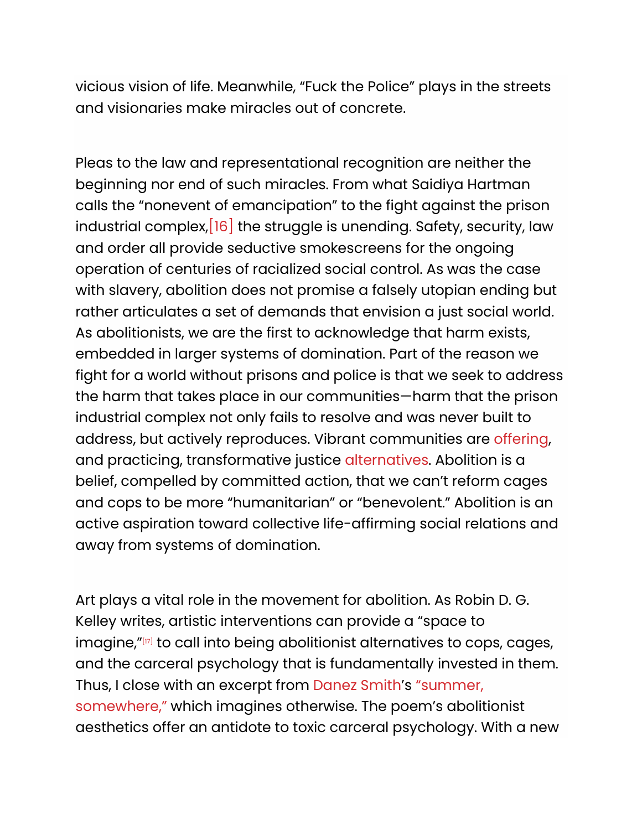vicious vision of life. Meanwhile, "Fuck the Police" plays in the streets and visionaries make miracles out of concrete.

Pleas to the law and representational recognition are neither the beginning nor end of such miracles. From what Saidiya Hartman calls the "nonevent of emancipation" to the fight against the prison industrial complex, [16] the struggle is unending. Safety, security, law and order all provide seductive smokescreens for the ongoing operation of centuries of racialized social control. As was the case with slavery, abolition does not promise a falsely utopian ending but rather articulates a set of demands that envision a just social world. As abolitionists, we are the first to acknowledge that harm exists, embedded in larger systems of domination. Part of the reason we fight for a world without prisons and police is that we seek to address the harm that takes place in our communities—harm that the prison industrial complex not only fails to resolve and was never built to address, but actively reproduces. Vibrant communities are [offering,](http://www.truth-out.org/opinion/item/36812-10-lessons-for-creating-safety-without-the-police-a-reflection-on-the-10-year-anniversary-of-the-sos-collective) and practicing, transformative justice [alternatives.](http://www.truth-out.org/opinion/item/32813-big-dreams-and-bold-steps-toward-a-police-free-future) Abolition is a belief, compelled by committed action, that we can't reform cages and cops to be more "humanitarian" or "benevolent." Abolition is an active aspiration toward collective life-affirming social relations and away from systems of domination.

Art plays a vital role in the movement for abolition. As Robin D. G. Kelley writes, artistic interventions can provide a "space to imagine,"<sup>[\[17\]](https://abolitionjournal.org/caption-this/#_edn17)</sup> to call into being abolitionist alternatives to cops, cages, and the carceral psychology that is fundamentally invested in them. Thus, I close with an excerpt from [Danez](https://www.poetryfoundation.org/poems-and-poets/poets/detail/danez-smith) Smith's ["summer,](https://www.poetryfoundation.org/poetrymagazine/poems/detail/58645) [somewhere,"](https://www.poetryfoundation.org/poetrymagazine/poems/detail/58645) which imagines otherwise. The poem's abolitionist aesthetics offer an antidote to toxic carceral psychology. With a new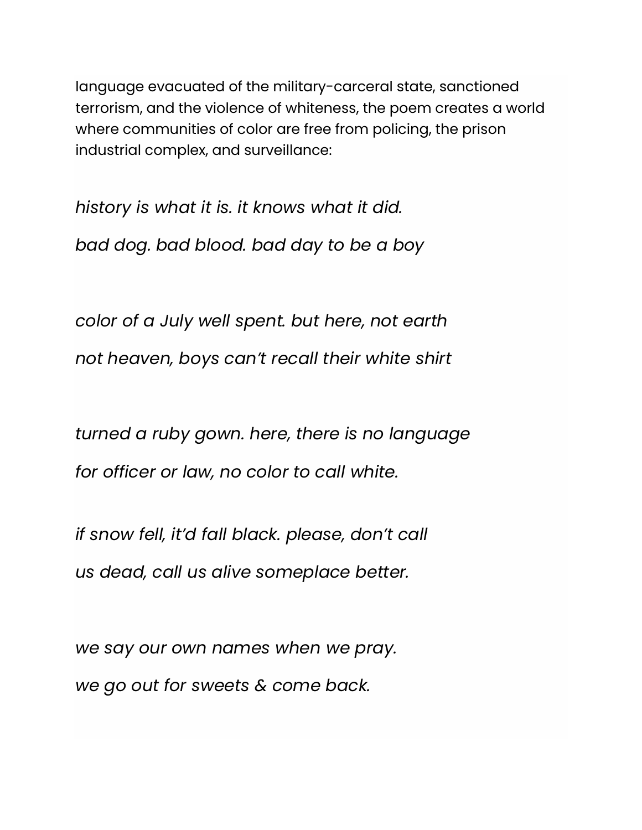language evacuated of the military-carceral state, sanctioned terrorism, and the violence of whiteness, the poem creates a world where communities of color are free from policing, the prison industrial complex, and surveillance:

*history is what it is. it knows what it did. bad dog. bad blood. bad day to be a boy*

*color of a July well spent. but here, not earth not heaven, boys can't recall their white shirt*

*turned a ruby gown. here, there is no language for officer or law, no color to call white.*

*if snow fell, it'd fall black. please, don't call us dead, call us alive someplace better.*

*we say our own names when we pray. we go out for sweets & come back.*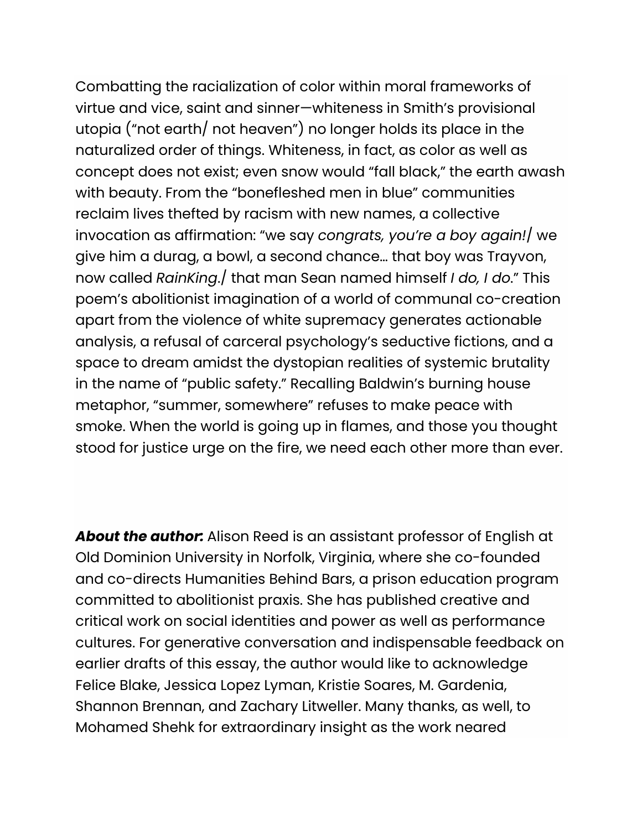Combatting the racialization of color within moral frameworks of virtue and vice, saint and sinner—whiteness in Smith's provisional utopia ("not earth/ not heaven") no longer holds its place in the naturalized order of things. Whiteness, in fact, as color as well as concept does not exist; even snow would "fall black," the earth awash with beauty. From the "bonefleshed men in blue" communities reclaim lives thefted by racism with new names, a collective invocation as affirmation: "we say *congrats, you're a boy again!*/ we give him a durag, a bowl, a second chance… that boy was Trayvon, now called *RainKing*./ that man Sean named himself *I do, I do*." This poem's abolitionist imagination of a world of communal co-creation apart from the violence of white supremacy generates actionable analysis, a refusal of carceral psychology's seductive fictions, and a space to dream amidst the dystopian realities of systemic brutality in the name of "public safety." Recalling Baldwin's burning house metaphor, "summer, somewhere" refuses to make peace with smoke. When the world is going up in flames, and those you thought stood for justice urge on the fire, we need each other more than ever.

*About the author:* Alison Reed is an assistant professor of English at Old Dominion University in Norfolk, Virginia, where she co-founded and co-directs Humanities Behind Bars, a prison education program committed to abolitionist praxis. She has published creative and critical work on social identities and power as well as performance cultures. For generative conversation and indispensable feedback on earlier drafts of this essay, the author would like to acknowledge Felice Blake, Jessica Lopez Lyman, Kristie Soares, M. Gardenia, Shannon Brennan, and Zachary Litweller. Many thanks, as well, to Mohamed Shehk for extraordinary insight as the work neared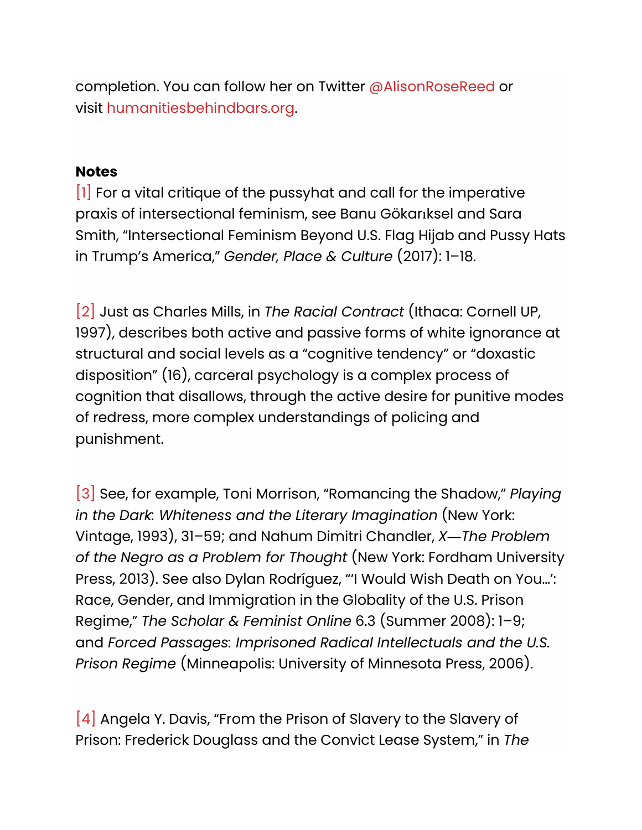completion. You can follow her on Twitter [@AlisonRoseReed](https://twitter.com/AlisonRoseReed) or visit [humanitiesbehindbars.org.](http://www.humanitiesbehindbars.org/home/)

#### **Notes**

 $\begin{bmatrix} 1 \end{bmatrix}$  For a vital critique of the pussyhat and call for the imperative praxis of intersectional feminism, see Banu Gökarıksel and Sara Smith, "Intersectional Feminism Beyond U.S. Flag Hijab and Pussy Hats in Trump's America," *Gender, Place & Culture* (2017): 1–18.

[\[2\]](https://abolitionjournal.org/caption-this/#_ednref2) Just as Charles Mills, in *The Racial Contract* (Ithaca: Cornell UP, 1997), describes both active and passive forms of white ignorance at structural and social levels as a "cognitive tendency" or "doxastic disposition" (16), carceral psychology is a complex process of cognition that disallows, through the active desire for punitive modes of redress, more complex understandings of policing and punishment.

[\[3\]](https://abolitionjournal.org/caption-this/#_ednref3) See, for example, Toni Morrison, "Romancing the Shadow," *Playing in the Dark: Whiteness and the Literary Imagination* (New York: Vintage, 1993), 31–59; and Nahum Dimitri Chandler, *X―The Problem of the Negro as a Problem for Thought* (New York: Fordham University Press, 2013). See also Dylan Rodríguez, "'I Would Wish Death on You…': Race, Gender, and Immigration in the Globality of the U.S. Prison Regime," *The Scholar & Feminist Online* 6.3 (Summer 2008): 1–9; and *Forced Passages: Imprisoned Radical Intellectuals and the U.S. Prison Regime* (Minneapolis: University of Minnesota Press, 2006).

[\[4\]](https://abolitionjournal.org/caption-this/#_ednref4) Angela Y. Davis, "From the Prison of Slavery to the Slavery of Prison: Frederick Douglass and the Convict Lease System," in *The*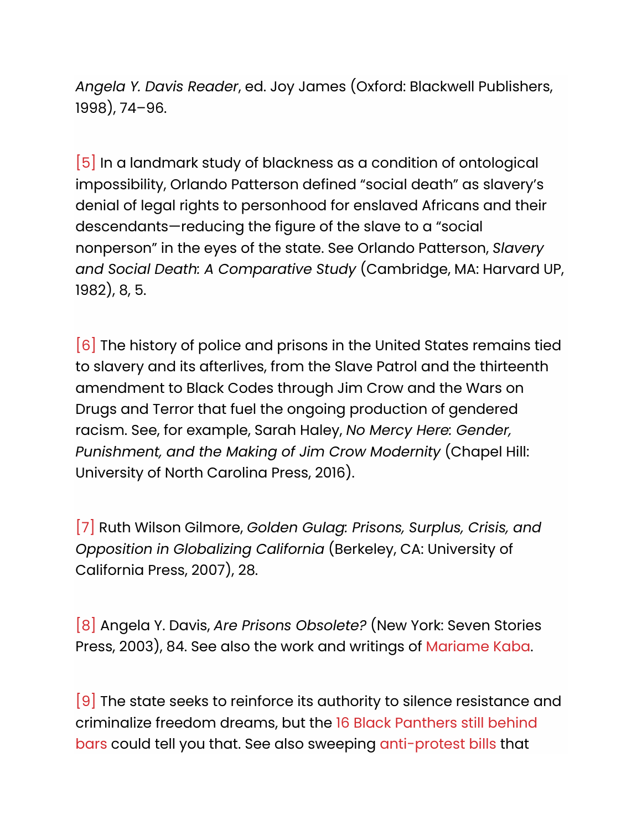*Angela Y. Davis Reader*, ed. Joy James (Oxford: Blackwell Publishers, 1998), 74–96.

[\[5\]](https://abolitionjournal.org/caption-this/#_ednref5) In a landmark study of blackness as a condition of ontological impossibility, Orlando Patterson defined "social death" as slavery's denial of legal rights to personhood for enslaved Africans and their descendants—reducing the figure of the slave to a "social nonperson" in the eyes of the state. See Orlando Patterson, *Slavery and Social Death: A Comparative Study* (Cambridge, MA: Harvard UP, 1982), 8, 5.

[\[6\]](https://abolitionjournal.org/caption-this/#_ednref6) The history of police and prisons in the United States remains tied to slavery and its afterlives, from the Slave Patrol and the thirteenth amendment to Black Codes through Jim Crow and the Wars on Drugs and Terror that fuel the ongoing production of gendered racism. See, for example, Sarah Haley, *No Mercy Here: Gender, Punishment, and the Making of Jim Crow Modernity* (Chapel Hill: University of North Carolina Press, 2016).

[\[7\]](https://abolitionjournal.org/caption-this/#_ednref7) Ruth Wilson Gilmore, *Golden Gulag: Prisons, Surplus, Crisis, and Opposition in Globalizing California* (Berkeley, CA: University of California Press, 2007), 28.

[\[8\]](https://abolitionjournal.org/caption-this/#_ednref8) Angela Y. Davis, *Are Prisons Obsolete?* (New York: Seven Stories Press, 2003), 84. See also the work and writings of [Mariame](http://mariamekaba.com/) Kaba.

[\[9\]](https://abolitionjournal.org/caption-this/#_ednref9) The state seeks to reinforce its authority to silence resistance and criminalize freedom dreams, but the 16 Black [Panthers](https://www.colorlines.com/articles/16-black-panthers-still-behind-bars) still behind [bars](https://www.colorlines.com/articles/16-black-panthers-still-behind-bars) could tell you that. See also sweeping [anti-protest](https://www.democracynow.org/2017/1/26/headlines/minnesota_lawmakers_push_anti_protest_bill_to_charge_activists_costs_of_policing) bills that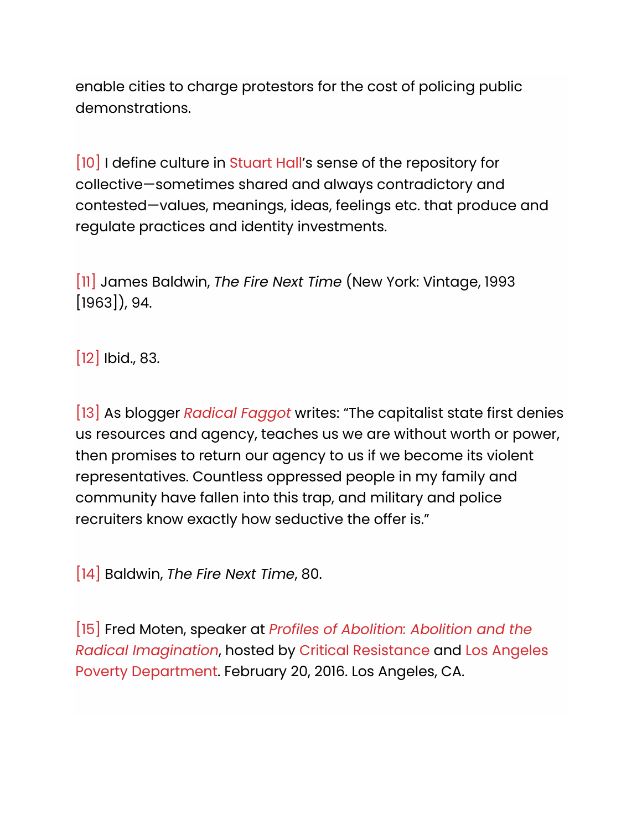enable cities to charge protestors for the cost of policing public demonstrations.

[\[10\]](https://abolitionjournal.org/caption-this/#_ednref10) I define culture in [Stuart](https://faculty.washington.edu/pembina/all_articles/Hall1997.pdf) Hall's sense of the repository for collective—sometimes shared and always contradictory and contested—values, meanings, ideas, feelings etc. that produce and regulate practices and identity investments.

[\[11\]](https://abolitionjournal.org/caption-this/#_ednref11) James Baldwin, *The Fire Next Time* (New York: Vintage, 1993 [1963]), 94.

[\[12\]](https://abolitionjournal.org/caption-this/#_ednref12) Ibid., 83.

[\[13\]](https://abolitionjournal.org/caption-this/#_ednref13) As blogger *[Radical](https://radfag.com/2014/12/29/can-we-build-an-anti-policing-movement-that-isnt-anti-police/) Faggot* writes: "The capitalist state first denies us resources and agency, teaches us we are without worth or power, then promises to return our agency to us if we become its violent representatives. Countless oppressed people in my family and community have fallen into this trap, and military and police recruiters know exactly how seductive the offer is."

[\[14\]](https://abolitionjournal.org/caption-this/#_ednref14) Baldwin, *The Fire Next Time*, 80.

[\[15\]](https://abolitionjournal.org/caption-this/#_ednref15) Fred Moten, speaker at *Profiles of [Abolition:](https://www.youtube.com/watch?v=Namtb_lA-UU) Abolition and the Radical [Imagination](https://www.youtube.com/watch?v=Namtb_lA-UU)*, hosted by Critical [Resistance](http://criticalresistance.org/) and Los [Angeles](http://lapovertydept.org/) Poverty [Department.](http://lapovertydept.org/) February 20, 2016. Los Angeles, CA.